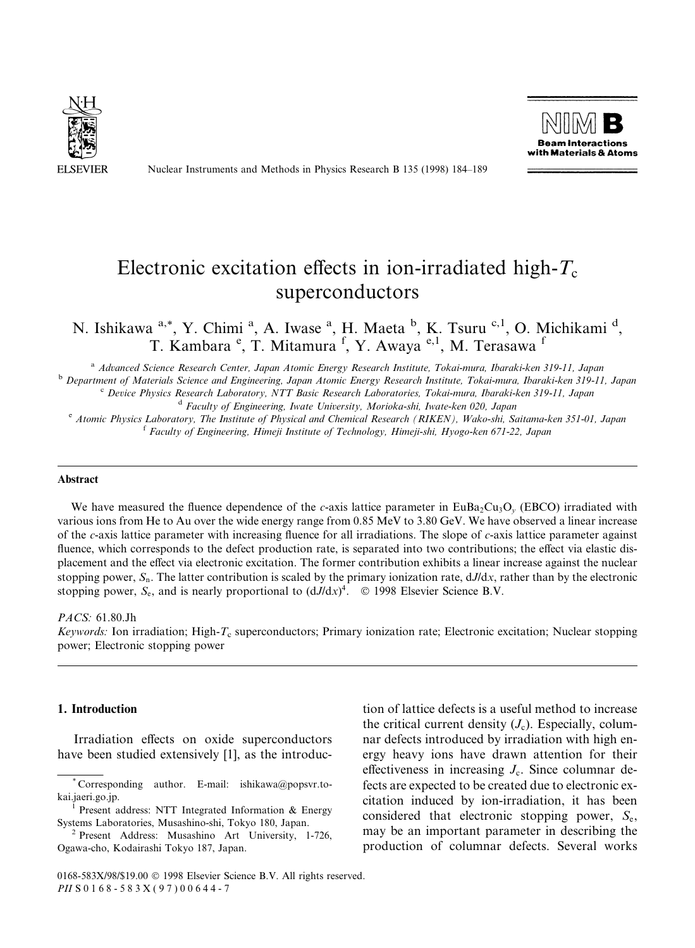

Nuclear Instruments and Methods in Physics Research B 135 (1998) 184-189



# Electronic excitation effects in ion-irradiated high- $T_c$ superconductors

N. Ishikawa <sup>a,\*</sup>, Y. Chimi <sup>a</sup>, A. Iwase <sup>a</sup>, H. Maeta <sup>b</sup>, K. Tsuru <sup>c, 1</sup>, O. Michikami <sup>d</sup>, T. Kambara <sup>e</sup>, T. Mitamura <sup>f</sup>, Y. Awaya <sup>e, 1</sup>, M. Terasawa <sup>f</sup>

<sup>a</sup> Advanced Science Research Center, Japan Atomic Energy Research Institute, Tokai-mura, Ibaraki-ken 319-11, Japan<br>Department of Materials Science and Engineering, Japan Atomic Energy Research Institute, Tokai-mura, Ibara

<sup>c</sup> Device Physics Research Laboratory, NTT Basic Research Laboratories, Tokai-mura, Ibaraki-ken 319-11, Japan<br><sup>d</sup> Faculty of Engineering, Iwate University, Morioka-shi, Iwate-ken 020, Japan<br><sup>e</sup> Atomic Physics Laboratory,

#### Abstract

We have measured the fluence dependence of the c-axis lattice parameter in EuBa<sub>2</sub>Cu<sub>3</sub>O<sub>y</sub> (EBCO) irradiated with various ions from He to Au over the wide energy range from 0.85 MeV to 3.80 GeV. We have observed a linear increase of the c-axis lattice parameter with increasing fluence for all irradiations. The slope of c-axis lattice parameter against fluence, which corresponds to the defect production rate, is separated into two contributions; the effect via elastic displacement and the effect via electronic excitation. The former contribution exhibits a linear increase against the nuclear stopping power,  $S_n$ . The latter contribution is scaled by the primary ionization rate,  $dJ/dx$ , rather than by the electronic stopping power,  $S_e$ , and is nearly proportional to  $(dJ/dx)^4$ . © 1998 Elsevier Science B.V.

### PACS: 61.80.Jh

Keywords: Ion irradiation; High-T<sub>c</sub> superconductors; Primary ionization rate; Electronic excitation; Nuclear stopping power; Electronic stopping power

## 1. Introduction

Irradiation effects on oxide superconductors have been studied extensively [1], as the introduc-

tion of lattice defects is a useful method to increase the critical current density  $(J_c)$ . Especially, columnar defects introduced by irradiation with high energy heavy ions have drawn attention for their effectiveness in increasing  $J_c$ . Since columnar defects are expected to be created due to electronic excitation induced by ion-irradiation, it has been considered that electronic stopping power,  $S_{\rm e}$ , may be an important parameter in describing the production of columnar defects. Several works

<sup>\*</sup> Corresponding author. E-mail: ishikawa@popsvr.tokai.jaeri.go.jp.<br><sup>1</sup> Present address: NTT Integrated Information & Energy

Systems Laboratories, Musashino-shi, Tokyo 180, Japan. <sup>2</sup> Present Address: Musashino Art University, 1-726,

Ogawa-cho, Kodairashi Tokyo 187, Japan.

<sup>0168-583</sup>X/98/\$19.00 Ó 1998 Elsevier Science B.V. All rights reserved. PII S 0 1 6 8 - 5 8 3 X ( 9 7 ) 0 0 6 4 4 - 7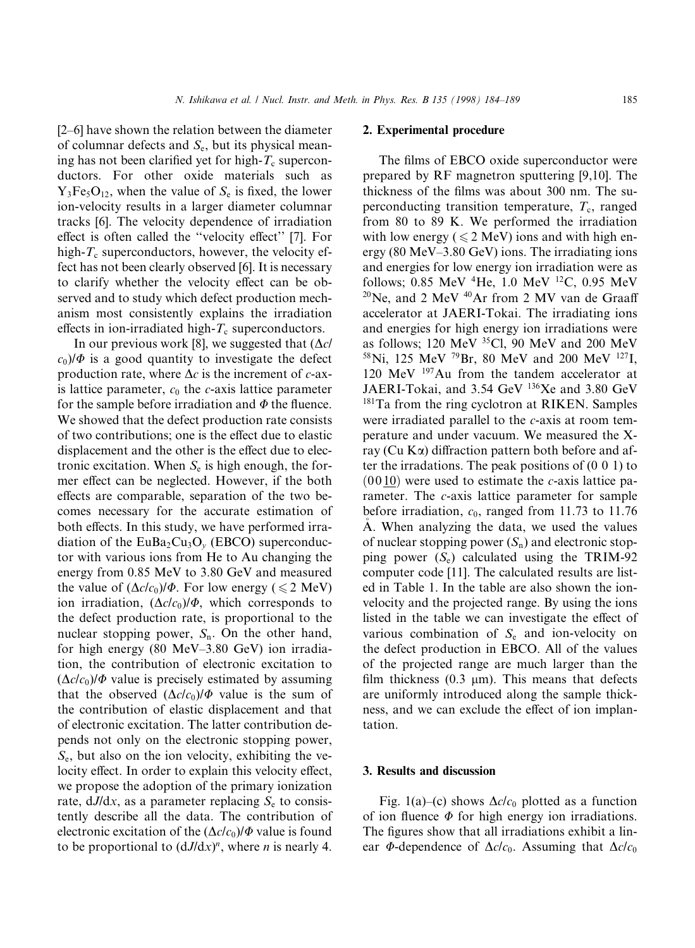$[2-6]$  have shown the relation between the diameter of columnar defects and  $S_e$ , but its physical meaning has not been clarified yet for high- $T_c$  superconductors. For other oxide materials such as  $Y_3Fe_5O_{12}$ , when the value of  $S_e$  is fixed, the lower ion-velocity results in a larger diameter columnar tracks [6]. The velocity dependence of irradiation effect is often called the "velocity effect" [7]. For high- $T_c$  superconductors, however, the velocity effect has not been clearly observed [6]. It is necessary to clarify whether the velocity effect can be observed and to study which defect production mechanism most consistently explains the irradiation effects in ion-irradiated high- $T_c$  superconductors.

In our previous work [8], we suggested that  $(\Delta c)$  $c_0$ / $\Phi$  is a good quantity to investigate the defect production rate, where  $\Delta c$  is the increment of c-axis lattice parameter,  $c_0$  the c-axis lattice parameter for the sample before irradiation and  $\Phi$  the fluence. We showed that the defect production rate consists of two contributions; one is the effect due to elastic displacement and the other is the effect due to electronic excitation. When  $S_e$  is high enough, the former effect can be neglected. However, if the both effects are comparable, separation of the two becomes necessary for the accurate estimation of both effects. In this study, we have performed irradiation of the  $EuBa<sub>2</sub>Cu<sub>3</sub>O<sub>v</sub>$  (EBCO) superconductor with various ions from He to Au changing the energy from 0.85 MeV to 3.80 GeV and measured the value of  $(\Delta c/c_0)/\Phi$ . For low energy (  $\leq 2$  MeV) ion irradiation,  $(\Delta c/c_0)/\Phi$ , which corresponds to the defect production rate, is proportional to the nuclear stopping power,  $S_n$ . On the other hand, for high energy  $(80 \text{ MeV}-3.80 \text{ GeV})$  ion irradiation, the contribution of electronic excitation to  $(\Delta c/c_0)/\Phi$  value is precisely estimated by assuming that the observed  $(\Delta c/c_0)/\Phi$  value is the sum of the contribution of elastic displacement and that of electronic excitation. The latter contribution depends not only on the electronic stopping power,  $S_{\rm e}$ , but also on the ion velocity, exhibiting the velocity effect. In order to explain this velocity effect, we propose the adoption of the primary ionization rate,  $dJ/dx$ , as a parameter replacing  $S<sub>e</sub>$  to consistently describe all the data. The contribution of electronic excitation of the  $(\Delta c/c_0)/\Phi$  value is found to be proportional to  $(dJ/dx)^n$ , where *n* is nearly 4.

## 2. Experimental procedure

The films of EBCO oxide superconductor were prepared by RF magnetron sputtering [9,10]. The thickness of the films was about 300 nm. The superconducting transition temperature,  $T_c$ , ranged from 80 to 89 K. We performed the irradiation with low energy ( $\leq 2$  MeV) ions and with high energy (80 MeV $-3.80$  GeV) ions. The irradiating ions and energies for low energy ion irradiation were as follows; 0.85 MeV  $^{4}$ He, 1.0 MeV  $^{12}$ C, 0.95 MeV  $20$ Ne, and 2 MeV  $40$ Ar from 2 MV van de Graaff accelerator at JAERI-Tokai. The irradiating ions and energies for high energy ion irradiations were as follows; 120 MeV 35Cl, 90 MeV and 200 MeV 58Ni, 125 MeV 79Br, 80 MeV and 200 MeV 127I, 120 MeV 197Au from the tandem accelerator at JAERI-Tokai, and 3.54 GeV <sup>136</sup>Xe and 3.80 GeV <sup>181</sup>Ta from the ring cyclotron at RIKEN. Samples were irradiated parallel to the c-axis at room temperature and under vacuum. We measured the Xray (Cu  $K\alpha$ ) diffraction pattern both before and after the irradations. The peak positions of (0 0 1) to  $(0010)$  were used to estimate the *c*-axis lattice parameter. The c-axis lattice parameter for sample before irradiation,  $c_0$ , ranged from 11.73 to 11.76 A. When analyzing the data, we used the values of nuclear stopping power  $(S_n)$  and electronic stopping power  $(S_e)$  calculated using the TRIM-92 computer code [11]. The calculated results are listed in Table 1. In the table are also shown the ionvelocity and the projected range. By using the ions listed in the table we can investigate the effect of various combination of  $S<sub>e</sub>$  and ion-velocity on the defect production in EBCO. All of the values of the projected range are much larger than the film thickness (0.3  $\mu$ m). This means that defects are uniformly introduced along the sample thickness, and we can exclude the effect of ion implantation.

#### 3. Results and discussion

Fig. 1(a)–(c) shows  $\Delta c/c_0$  plotted as a function of ion fluence  $\Phi$  for high energy ion irradiations. The figures show that all irradiations exhibit a linear  $\Phi$ -dependence of  $\Delta c/c_0$ . Assuming that  $\Delta c/c_0$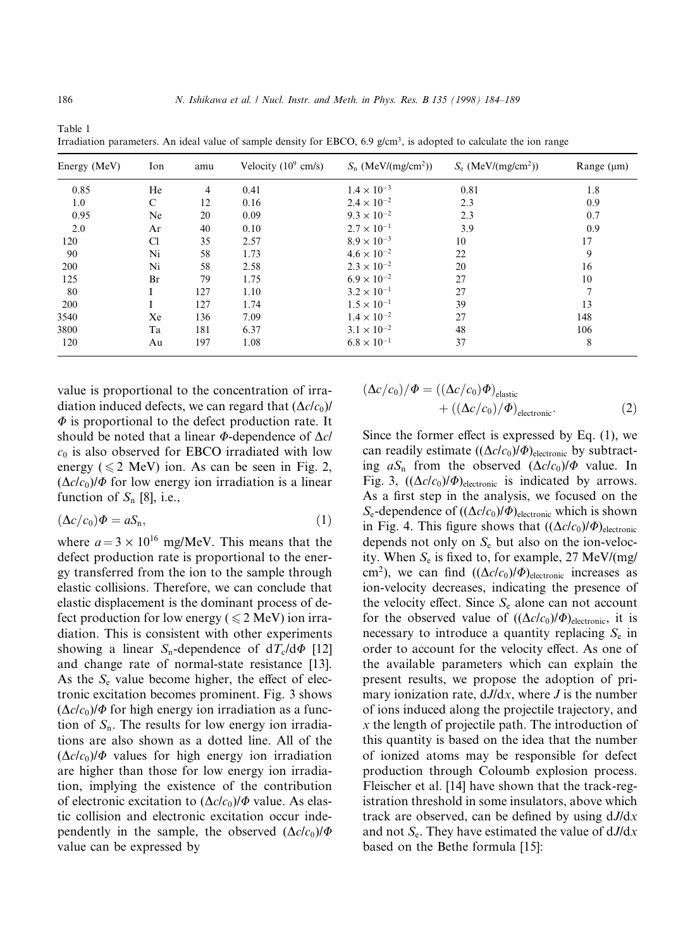| Energy (MeV) | Ion           | amu | Velocity $(10^9 \text{ cm/s})$ | $S_n$ (MeV/(mg/cm <sup>2</sup> )) | $S_e$ (MeV/(mg/cm <sup>2</sup> )) | Range $(\mu m)$ |
|--------------|---------------|-----|--------------------------------|-----------------------------------|-----------------------------------|-----------------|
| 0.85         | He            | 4   | 0.41                           | $1.4 \times 10^{-3}$              | 0.81                              | 1.8             |
| 1.0          | $\mathcal{C}$ | 12  | 0.16                           | $2.4 \times 10^{-2}$              | 2.3                               | 0.9             |
| 0.95         | Ne            | 20  | 0.09                           | $9.3 \times 10^{-2}$              | 2.3                               | 0.7             |
| 2.0          | Ar            | 40  | 0.10                           | $2.7 \times 10^{-1}$              | 3.9                               | 0.9             |
| 120          | Cl            | 35  | 2.57                           | $8.9 \times 10^{-3}$              | 10                                | 17              |
| 90           | Ni            | 58  | 1.73                           | $4.6 \times 10^{-2}$              | 22                                | 9               |
| 200          | Ni            | 58  | 2.58                           | $2.3 \times 10^{-2}$              | 20                                | 16              |
| 125          | Br            | 79  | 1.75                           | $6.9 \times 10^{-2}$              | 27                                | 10              |
| 80           | I             | 127 | 1.10                           | $3.2 \times 10^{-1}$              | 27                                | $\overline{7}$  |
| 200          |               | 127 | 1.74                           | $1.5 \times 10^{-1}$              | 39                                | 13              |
| 3540         | Xe            | 136 | 7.09                           | $1.4 \times 10^{-2}$              | 27                                | 148             |
| 3800         | Ta            | 181 | 6.37                           | $3.1 \times 10^{-2}$              | 48                                | 106             |
| 120          | Au            | 197 | 1.08                           | $6.8 \times 10^{-1}$              | 37                                | 8               |

Table 1 Irradiation parameters. An ideal value of sample density for EBCO, 6.9  $g/cm<sup>3</sup>$ , is adopted to calculate the ion range

value is proportional to the concentration of irradiation induced defects, we can regard that  $(\Delta c/c_0)$ /  $\Phi$  is proportional to the defect production rate. It should be noted that a linear  $\Phi$ -dependence of  $\Delta c/$  $c_0$  is also observed for EBCO irradiated with low energy ( $\leq 2$  MeV) ion. As can be seen in Fig. 2,  $(\Delta c/c_0)/\Phi$  for low energy ion irradiation is a linear function of  $S_n$  [8], i.e.,

$$
(\Delta c/c_0)\Phi = aS_n,\tag{1}
$$

where  $a = 3 \times 10^{16}$  mg/MeV. This means that the defect production rate is proportional to the energy transferred from the ion to the sample through elastic collisions. Therefore, we can conclude that elastic displacement is the dominant process of defect production for low energy ( $\leq 2$  MeV) ion irradiation. This is consistent with other experiments showing a linear S<sub>n</sub>-dependence of  $dT_c/d\Phi$  [12] and change rate of normal-state resistance [13]. As the  $S_e$  value become higher, the effect of electronic excitation becomes prominent. Fig. 3 shows  $(\Delta c/c_0)/\Phi$  for high energy ion irradiation as a function of  $S_n$ . The results for low energy ion irradiations are also shown as a dotted line. All of the  $(\Delta c/c_0)/\Phi$  values for high energy ion irradiation are higher than those for low energy ion irradiation, implying the existence of the contribution of electronic excitation to  $(\Delta c/c_0)/\Phi$  value. As elastic collision and electronic excitation occur independently in the sample, the observed  $(\Delta c/c_0)/\Phi$ value can be expressed by

$$
(\Delta c/c_0)/\Phi = ((\Delta c/c_0)\Phi)_{\text{elastic}} + ((\Delta c/c_0)/\Phi)_{\text{electronic}}.
$$
\n(2)

Since the former effect is expressed by Eq.  $(1)$ , we can readily estimate  $((\Delta c/c_0)/\Phi)_{\text{electronic}}$  by subtracting  $aS_n$  from the observed  $(\Delta c/c_0)/\Phi$  value. In Fig. 3,  $((\Delta c/c_0)/\Phi)$ <sub>electronic</sub> is indicated by arrows. As a first step in the analysis, we focused on the  $S_e$ -dependence of  $((\Delta c/c_0)/\Phi)_{\text{electronic}}$  which is shown in Fig. 4. This figure shows that  $((\Delta c/c_0)/\Phi)_{\text{electronic}}$ depends not only on  $S_e$  but also on the ion-velocity. When  $S_e$  is fixed to, for example, 27 MeV/(mg/ cm<sup>2</sup>), we can find  $((\Delta c/c_0)/\Phi)$ <sub>electronic</sub> increases as ion-velocity decreases, indicating the presence of the velocity effect. Since  $S_e$  alone can not account for the observed value of  $((\Delta c/c_0)/\Phi)_{\text{electronic}}$ , it is necessary to introduce a quantity replacing  $S_e$  in order to account for the velocity effect. As one of the available parameters which can explain the present results, we propose the adoption of primary ionization rate,  $dJ/dx$ , where J is the number of ions induced along the projectile trajectory, and x the length of projectile path. The introduction of this quantity is based on the idea that the number of ionized atoms may be responsible for defect production through Coloumb explosion process. Fleischer et al. [14] have shown that the track-registration threshold in some insulators, above which track are observed, can be defined by using  $dJ/dx$ and not  $S_e$ . They have estimated the value of  $dJ/dx$ based on the Bethe formula [15]: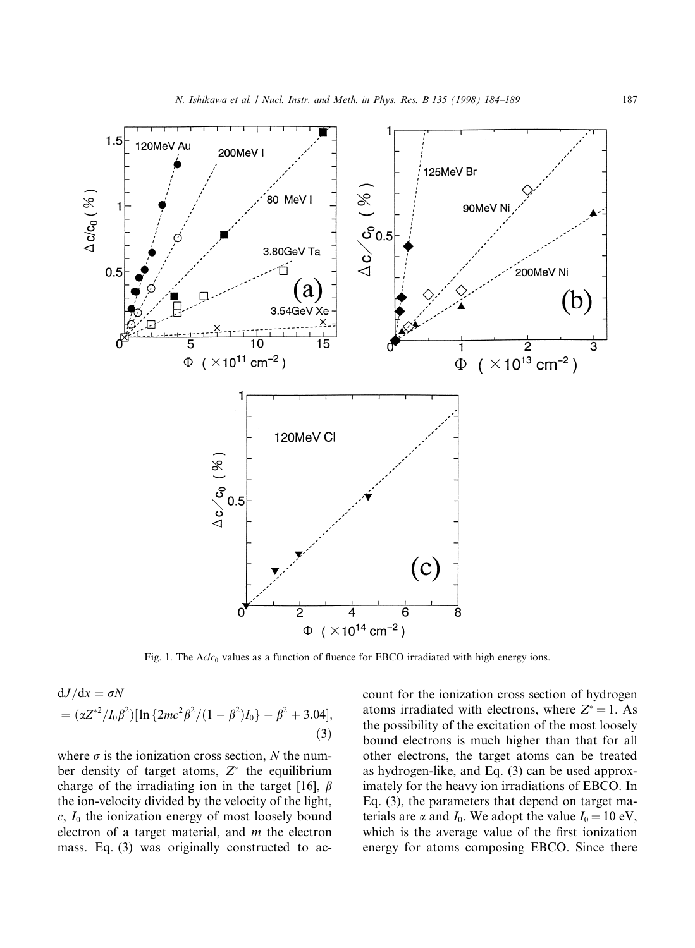

Fig. 1. The  $\Delta cl c_0$  values as a function of fluence for EBCO irradiated with high energy ions.

$$
dJ/dx = \sigma N
$$
  
=  $(\alpha Z^{*2}/I_0 \beta^2)[\ln\{2mc^2\beta^2/(1-\beta^2)I_0\} - \beta^2 + 3.04],$  (3)

where  $\sigma$  is the ionization cross section, N the number density of target atoms,  $Z^*$  the equilibrium charge of the irradiating ion in the target [16],  $\beta$ the ion-velocity divided by the velocity of the light,  $c, I_0$  the ionization energy of most loosely bound electron of a target material, and  $m$  the electron mass. Eq. (3) was originally constructed to account for the ionization cross section of hydrogen atoms irradiated with electrons, where  $Z^* = 1$ . As the possibility of the excitation of the most loosely bound electrons is much higher than that for all other electrons, the target atoms can be treated as hydrogen-like, and Eq. (3) can be used approximately for the heavy ion irradiations of EBCO. In Eq. (3), the parameters that depend on target materials are  $\alpha$  and  $I_0$ . We adopt the value  $I_0 = 10$  eV, which is the average value of the first ionization energy for atoms composing EBCO. Since there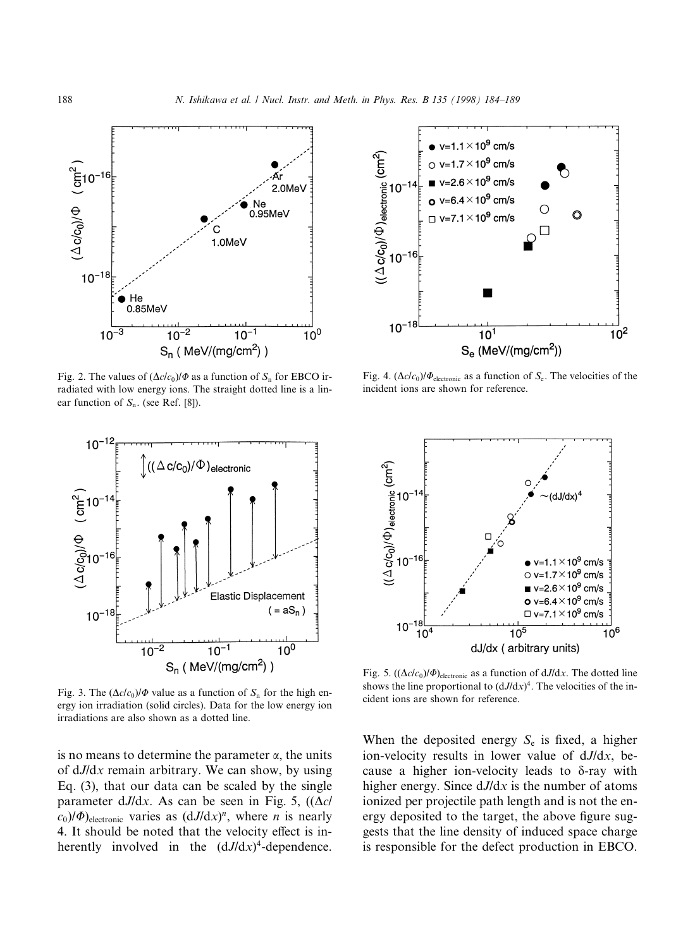

Fig. 2. The values of  $(\Delta c/c_0)/\Phi$  as a function of  $S_n$  for EBCO irradiated with low energy ions. The straight dotted line is a linear function of  $S_n$ . (see Ref. [8]).



Fig. 3. The  $(\Delta c/c_0)/\Phi$  value as a function of  $S_n$  for the high energy ion irradiation (solid circles). Data for the low energy ion irradiations are also shown as a dotted line.

is no means to determine the parameter  $\alpha$ , the units of  $dJ/dx$  remain arbitrary. We can show, by using Eq. (3), that our data can be scaled by the single parameter dJ/dx. As can be seen in Fig. 5,  $((\Delta c)^2)$  $c_0$ )/ $\Phi$ )<sub>electronic</sub> varies as  $(dJ/dx)^n$ , where *n* is nearly 4. It should be noted that the velocity effect is inherently involved in the  $(dJ/dx)^4$ -dependence.



Fig. 4.  $(\Delta c/c_0)/\Phi_{\text{electronic}}$  as a function of  $S_e$ . The velocities of the incident ions are shown for reference.



Fig. 5.  $((\Delta c/c_0)/\Phi)_{\text{electronic}}$  as a function of dJ/dx. The dotted line shows the line proportional to  $(dJ/dx)^4$ . The velocities of the incident ions are shown for reference.

When the deposited energy  $S_e$  is fixed, a higher ion-velocity results in lower value of dJ/dx, because a higher ion-velocity leads to  $\delta$ -ray with higher energy. Since  $dJ/dx$  is the number of atoms ionized per projectile path length and is not the energy deposited to the target, the above figure suggests that the line density of induced space charge is responsible for the defect production in EBCO.